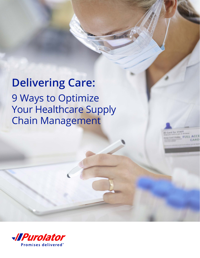## **Delivering Care:** 9 Ways to Optimize Your Healthcare Supply Chain Management

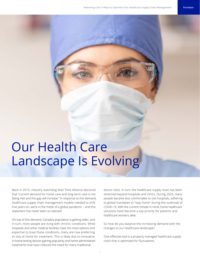# Our Health Care Landscape Is Evolving

Back in 2015, industry watchdog Wait Time Alliance declared that "current demand for home care and long-term care is not being met and this gap will increase." In response to this demand, healthcare supply chain management models needed to shift. Five years on, we're in the midst of a global pandemic – and this statement has never been so relevant.

On top of this demand, Canada's population is getting older, and in turn, more people are living with chronic conditions. While hospitals and other medical facilities have the most options and expertise to treat these conditions, many are now preferring to stay at home for treatment. This is likely due to innovative in-home testing devices gaining popularity and home administered treatments that have reduced the need for many traditional

doctor visits. In turn, the healthcare supply chain has been stretched beyond hospitals and clinics. During 2020, many people became less comfortable to visit hospitals, adhering to global mandates to "stay home" during the outbreak of COVID-19. With the current climate in mind, home healthcare solutions have become a top priority for patients and healthcare workers alike.

So how do you balance the increasing demand with the changes to our healthcare landscape?

One effective tool is a properly managed healthcare supply chain that is optimized for fluctuations.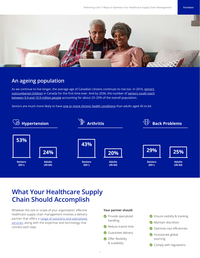

### **An ageing population**

As we continue to live longer, the average age of Canadian citizens continues to rise too. In 2016, seniors [outnumbered children](https://www.cbc.ca/news/politics/2016-census-age-gender-1.4095360#:~:text=The%20increase%20in%20the%20share,age%20just%20five%20years%20ago.) in Canada for the first time ever. And by 2036, the number of [seniors could reach](https://www150.statcan.gc.ca/n1/pub/11-402-x/2011000/chap/seniors-aines/seniors-aines-eng.htm) [between 9.9 and 10.9 million people](https://www150.statcan.gc.ca/n1/pub/11-402-x/2011000/chap/seniors-aines/seniors-aines-eng.htm) accounting for about 23–25% of the overall population.

Seniors are much more likely to have [one or more chronic health conditions](https://www.longwoods.com/content/22485//chronic-conditions-more-than-age-drive-health-system-use-in-canadian-seniors) than adults aged 45 to 64.



### **What Your Healthcare Supply Chain Should Accomplish**

Whatever the size or scope of your organization, effective healthcare supply chain management involves a delivery partner that offers a range of solutions and specialized [services](https://www.purolator.com/en/business-solutions/solutions-industry/healthcare), along with the expertise and technology that connect each step.

#### **Your partner should:**

- Provide specialized handling
- Reduce transit time
- Guarantee delivery
- Offer flexibility & scalability
- **◆** Ensure visibility & tracking **Maintain discretion** Optimize cost-efficiencies Incorporate global sourcing Comply with regulations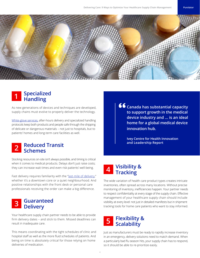

## **Specialized Handling 1**

As new generations of devices and techniques are developed, supply chains must evolve to properly deliver the technology.

[White-glove services,](https://www.purolator.com/en/business-solutions/solutions-industry/healthcare) after-hours delivery and specialized handling protocols keep both products and people safe through the shipping of delicate or dangerous materials – not just to hospitals, but to patients' homes and long-term care facilities as well.

## **Reduced Transit Schemes 2**

Stocking resources on-site isn't always possible, and timing is critical when it comes to medical products. Delays don't just raise costs; they can increase wait times and even risk patients' well-being.

Fast delivery requires familiarity with the ["last-mile of delivery,](https://resources.purolator.com/winning_the_last-mile_challenge_ebook/)" whether it's a downtown core or a quiet neighbourhood. And positive relationships with the front desk or personal care professionals receiving the order can make a big difference.

### **Guaranteed Delivery 3**

Your healthcare supply chain partner needs to be able to provide firm delivery dates – and stick to them. Missed deadlines can result in inadequate care.

This means coordinating with the tight schedules of clinic and hospital staff as well as the more fluid schedules of patients. And being on time is absolutely critical for those relying on home deliveries of medication.

**Canada has substantial capacity to support growth in the medical device industry and ... is an ideal home for a global medical device innovation hub.**

> **Ivey Centre for Health Innovation and Leadership Report**



The wide variation of health care product types creates intricate inventories, often spread across many locations. Without precise monitoring of inventory, inefficiencies happen. Your partner needs to respect confidentiality at every stage of the supply chain. Effective management of your healthcare supply chain should include visibility at every level: not just in detailed manifests but in shipment tracking tools for home care patients who want to stay informed.

#### **Flexibility & Scalability 5**

Just as manufacturers must be ready to rapidly increase inventory in an emergency, delivery solutions need to match demand. When a particularly bad flu season hits, your supply chain has to respond, so it should be able to re-prioritize easily.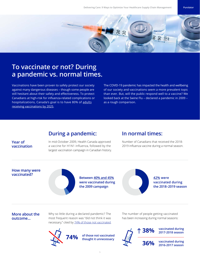

### **To vaccinate or not? During a pandemic vs. normal times.**

Vaccinations have been proven to safely protect our society against many dangerous diseases – though some people are still hesitant about their safety and effectiveness. To protect Canadians at high-risk for influenza-related complications or hospitalizations, Canada's goal is to have 80% of adults [receiving vaccinations by 2025](https://www.canada.ca/en/public-health/services/immunization-vaccine-priorities/national-immunization-strategy/vaccination-coverage-goals-vaccine-preventable-diseases-reduction-targets-2025.html#1.4.1).

The COVID-19 pandemic has impacted the health and wellbeing of our society and vaccinations seem a more prevalent topic than ever. But, will the public respond well to a vaccine? We looked back at the Swine Flu – declared a pandemic in 2009 – as a rough comparison.

#### **During a pandemic:**

#### **Year of vaccination**

In mid-October 2009, Health Canada approved a vaccine for H1N1 influenza, followed by the largest vaccination campaign in Canadian history.

#### **In normal times:**

Number of Canadians that received the 2018- 2019 influenza vaccine during a normal season.

#### **How many were vaccinated?**



**Between [40% and 45%](https://www150.statcan.gc.ca/n1/pub/82-003-x/2010004/article/11348-eng.htm) were vaccinated during the 2009 campaign**

**[42%](https://www.canada.ca/en/public-health/services/publications/healthy-living/2018-2019-influenza-flu-vaccine-coverage-survey-results.html) were vaccinated during the 2018–2019 season**

#### **More about the outcome...**

Why so little during a declared pandemic? The most frequent reason was "did not think it was necessary," cited by [74% of those not vaccinated](https://www150.statcan.gc.ca/n1/pub/82-003-x/2010004/article/11348/findings-resultats-eng.htm).



The number of people getting vaccinated has been increasing during normal seasons:

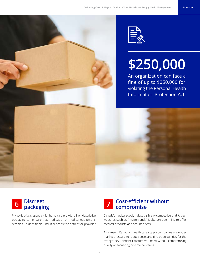

# **\$250,000**

An organization can face a fine of up to \$250,000 for violating the Personal Health Information Protection Act.



Privacy is critical, especially for home care providers. Non-descriptive packaging can ensure that medication or medical equipment remains unidentifiable until it reaches the patient or provider.

## **Cost-efficient without compromise 7**

Canada's medical supply industry is highly competitive, and foreign websites such as Amazon and Alibaba are beginning to offer medical products at discount prices.

As a result, Canadian health care supply companies are under market pressure to reduce costs and find opportunities for the savings they – and their customers – need, without compromising quality or sacrificing on-time deliveries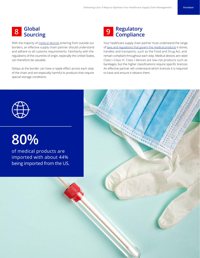## **Global Sourcing 8**

With the majority of [medical devices](https://resources.purolator.com/best-practices-in-medical-supplies-logistics/) entering from outside our borders, an effective supply chain partner should understand and adhere to all customs requirements. Familiarity with the regulations of the countries of origin, especially the United States, can therefore be valuable.

Delays at the border can have a ripple effect across each step of the chain and are especially harmful to products that require special storage conditions.

### **Regulatory Compliance 9**

Your healthcare supply chain partner must understand the range of [laws and regulations that govern the medical products](https://resources.purolator.com/3-smart-ways-to-avoid-regulatory-compliance-mistakes/) it stores, handles and transports, such as the Food and Drug Act, and remain compliant throughout each step. Medical devices are rated Class I–Class IV. Class I devices are low-risk products such as bandages, but the higher classifications require specific licences. An effective partner will understand which licences it is required to have and ensure it obtains them.



# **80%**

of medical products are imported with about 44% being imported from the US.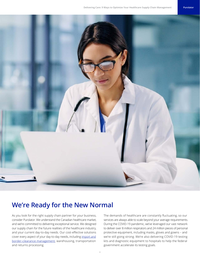

### **We're Ready for the New Normal**

As you look for the right supply chain partner for your business, consider Purolator. We understand the Canadian healthcare market, and we're committed to delivering exceptional service. We designed our supply chain for the future realities of the healthcare industry, and your current day-to-day needs. Our cost-effective solutions cover every aspect of your day-to-day needs, including [import and](https://www.purolator.com/en/shipping/us-international/importing-canada)  [border-clearance management](https://www.purolator.com/en/shipping/us-international/importing-canada), warehousing, transportation and returns processing.

The demands of healthcare are constantly fluctuating, so our services are always able to scale beyond your average requirements. During the COVID-19 pandemic, we've leveraged our vast network to deliver over 8 million respirators and 24 million pieces of personal protective equipment, including masks, gloves and gowns – and we're still going strong. We're also delivering COVID-19 testing kits and diagnostic equipment to hospitals to help the federal government accelerate its testing goals.